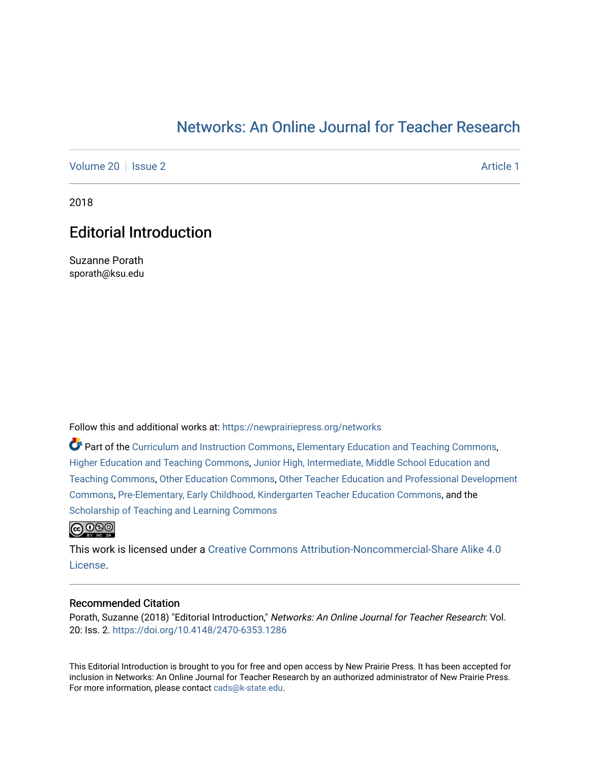## [Networks: An Online Journal for Teacher Research](https://newprairiepress.org/networks)

[Volume 20](https://newprairiepress.org/networks/vol20) | [Issue 2](https://newprairiepress.org/networks/vol20/iss2) Article 1

2018

## Editorial Introduction

Suzanne Porath sporath@ksu.edu

Follow this and additional works at: [https://newprairiepress.org/networks](https://newprairiepress.org/networks?utm_source=newprairiepress.org%2Fnetworks%2Fvol20%2Fiss2%2F1&utm_medium=PDF&utm_campaign=PDFCoverPages)

Part of the [Curriculum and Instruction Commons,](http://network.bepress.com/hgg/discipline/786?utm_source=newprairiepress.org%2Fnetworks%2Fvol20%2Fiss2%2F1&utm_medium=PDF&utm_campaign=PDFCoverPages) [Elementary Education and Teaching Commons,](http://network.bepress.com/hgg/discipline/805?utm_source=newprairiepress.org%2Fnetworks%2Fvol20%2Fiss2%2F1&utm_medium=PDF&utm_campaign=PDFCoverPages) [Higher Education and Teaching Commons,](http://network.bepress.com/hgg/discipline/806?utm_source=newprairiepress.org%2Fnetworks%2Fvol20%2Fiss2%2F1&utm_medium=PDF&utm_campaign=PDFCoverPages) [Junior High, Intermediate, Middle School Education and](http://network.bepress.com/hgg/discipline/807?utm_source=newprairiepress.org%2Fnetworks%2Fvol20%2Fiss2%2F1&utm_medium=PDF&utm_campaign=PDFCoverPages)  [Teaching Commons](http://network.bepress.com/hgg/discipline/807?utm_source=newprairiepress.org%2Fnetworks%2Fvol20%2Fiss2%2F1&utm_medium=PDF&utm_campaign=PDFCoverPages), [Other Education Commons](http://network.bepress.com/hgg/discipline/811?utm_source=newprairiepress.org%2Fnetworks%2Fvol20%2Fiss2%2F1&utm_medium=PDF&utm_campaign=PDFCoverPages), [Other Teacher Education and Professional Development](http://network.bepress.com/hgg/discipline/810?utm_source=newprairiepress.org%2Fnetworks%2Fvol20%2Fiss2%2F1&utm_medium=PDF&utm_campaign=PDFCoverPages) [Commons](http://network.bepress.com/hgg/discipline/810?utm_source=newprairiepress.org%2Fnetworks%2Fvol20%2Fiss2%2F1&utm_medium=PDF&utm_campaign=PDFCoverPages), [Pre-Elementary, Early Childhood, Kindergarten Teacher Education Commons](http://network.bepress.com/hgg/discipline/808?utm_source=newprairiepress.org%2Fnetworks%2Fvol20%2Fiss2%2F1&utm_medium=PDF&utm_campaign=PDFCoverPages), and the [Scholarship of Teaching and Learning Commons](http://network.bepress.com/hgg/discipline/1328?utm_source=newprairiepress.org%2Fnetworks%2Fvol20%2Fiss2%2F1&utm_medium=PDF&utm_campaign=PDFCoverPages) 



This work is licensed under a [Creative Commons Attribution-Noncommercial-Share Alike 4.0](https://creativecommons.org/licenses/by-nc-sa/4.0/) [License.](https://creativecommons.org/licenses/by-nc-sa/4.0/)

## Recommended Citation

Porath, Suzanne (2018) "Editorial Introduction," Networks: An Online Journal for Teacher Research: Vol. 20: Iss. 2. <https://doi.org/10.4148/2470-6353.1286>

This Editorial Introduction is brought to you for free and open access by New Prairie Press. It has been accepted for inclusion in Networks: An Online Journal for Teacher Research by an authorized administrator of New Prairie Press. For more information, please contact [cads@k-state.edu.](mailto:cads@k-state.edu)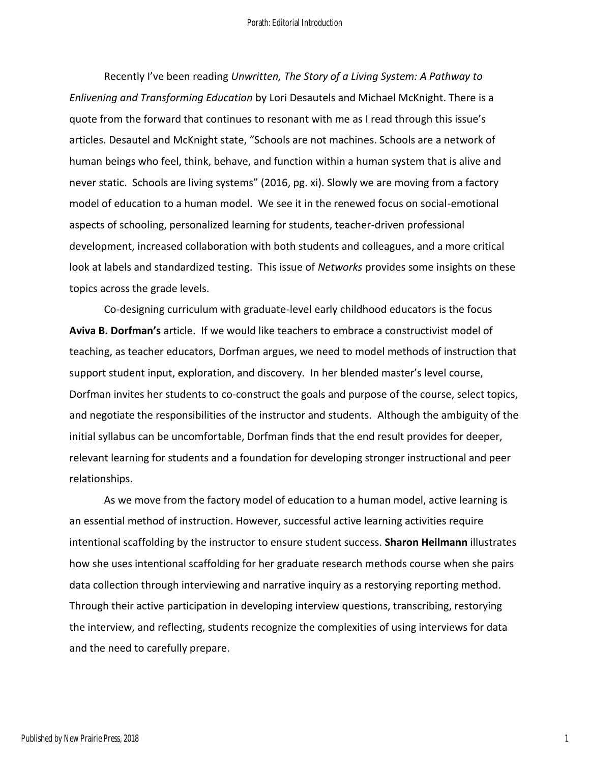Recently I've been reading *Unwritten, The Story of a Living System: A Pathway to Enlivening and Transforming Education* by Lori Desautels and Michael McKnight. There is a quote from the forward that continues to resonant with me as I read through this issue's articles. Desautel and McKnight state, "Schools are not machines. Schools are a network of human beings who feel, think, behave, and function within a human system that is alive and never static. Schools are living systems" (2016, pg. xi). Slowly we are moving from a factory model of education to a human model. We see it in the renewed focus on social-emotional aspects of schooling, personalized learning for students, teacher-driven professional development, increased collaboration with both students and colleagues, and a more critical look at labels and standardized testing. This issue of *Networks* provides some insights on these topics across the grade levels.

Co-designing curriculum with graduate-level early childhood educators is the focus **Aviva B. Dorfman's** article. If we would like teachers to embrace a constructivist model of teaching, as teacher educators, Dorfman argues, we need to model methods of instruction that support student input, exploration, and discovery. In her blended master's level course, Dorfman invites her students to co-construct the goals and purpose of the course, select topics, and negotiate the responsibilities of the instructor and students. Although the ambiguity of the initial syllabus can be uncomfortable, Dorfman finds that the end result provides for deeper, relevant learning for students and a foundation for developing stronger instructional and peer relationships.

As we move from the factory model of education to a human model, active learning is an essential method of instruction. However, successful active learning activities require intentional scaffolding by the instructor to ensure student success. **Sharon Heilmann** illustrates how she uses intentional scaffolding for her graduate research methods course when she pairs data collection through interviewing and narrative inquiry as a restorying reporting method. Through their active participation in developing interview questions, transcribing, restorying the interview, and reflecting, students recognize the complexities of using interviews for data and the need to carefully prepare.

1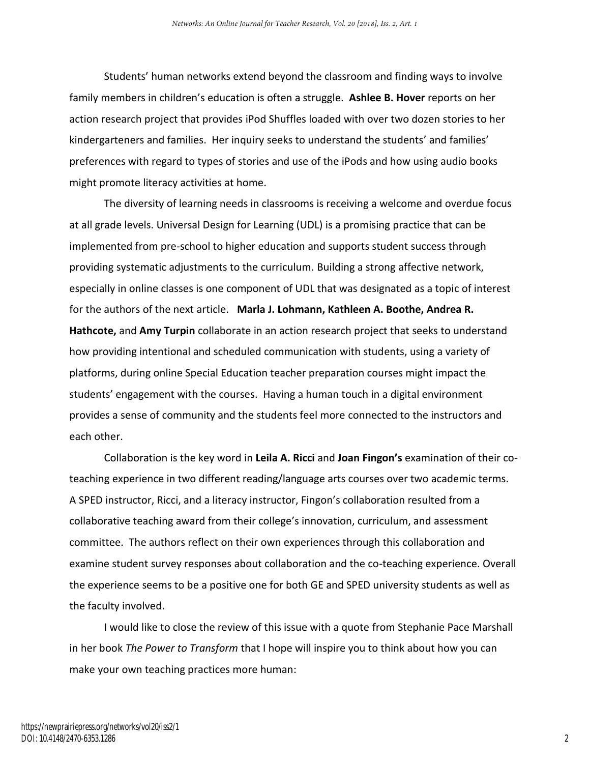Students' human networks extend beyond the classroom and finding ways to involve family members in children's education is often a struggle. **Ashlee B. Hover** reports on her action research project that provides iPod Shuffles loaded with over two dozen stories to her kindergarteners and families. Her inquiry seeks to understand the students' and families' preferences with regard to types of stories and use of the iPods and how using audio books might promote literacy activities at home.

The diversity of learning needs in classrooms is receiving a welcome and overdue focus at all grade levels. Universal Design for Learning (UDL) is a promising practice that can be implemented from pre-school to higher education and supports student success through providing systematic adjustments to the curriculum. Building a strong affective network, especially in online classes is one component of UDL that was designated as a topic of interest for the authors of the next article. **Marla J. Lohmann, Kathleen A. Boothe, Andrea R. Hathcote,** and **Amy Turpin** collaborate in an action research project that seeks to understand how providing intentional and scheduled communication with students, using a variety of platforms, during online Special Education teacher preparation courses might impact the students' engagement with the courses. Having a human touch in a digital environment provides a sense of community and the students feel more connected to the instructors and each other.

Collaboration is the key word in **Leila A. Ricci** and **Joan Fingon's** examination of their coteaching experience in two different reading/language arts courses over two academic terms. A SPED instructor, Ricci, and a literacy instructor, Fingon's collaboration resulted from a collaborative teaching award from their college's innovation, curriculum, and assessment committee. The authors reflect on their own experiences through this collaboration and examine student survey responses about collaboration and the co-teaching experience. Overall the experience seems to be a positive one for both GE and SPED university students as well as the faculty involved.

I would like to close the review of this issue with a quote from Stephanie Pace Marshall in her book *The Power to Transform* that I hope will inspire you to think about how you can make your own teaching practices more human: